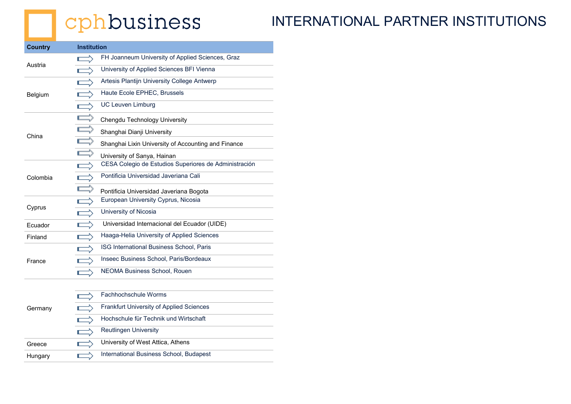## cphbusiness

#### INTERNATIONAL PARTNER INSTITUTIONS

| <b>Country</b> | <b>Institution</b> |                                                       |  |
|----------------|--------------------|-------------------------------------------------------|--|
| Austria        |                    | FH Joanneum University of Applied Sciences, Graz      |  |
|                |                    | University of Applied Sciences BFI Vienna             |  |
| Belgium        |                    | Artesis Plantijn University College Antwerp           |  |
|                |                    | Haute Ecole EPHEC, Brussels                           |  |
|                |                    | <b>UC Leuven Limburg</b>                              |  |
| China          |                    | Chengdu Technology University                         |  |
|                | $\equiv$           | Shanghai Dianji University                            |  |
|                |                    | Shanghai Lixin University of Accounting and Finance   |  |
|                |                    | University of Sanya, Hainan                           |  |
| Colombia       |                    | CESA Colegio de Estudios Superiores de Administración |  |
|                |                    | Pontificia Universidad Javeriana Cali                 |  |
|                |                    | Pontificia Universidad Javeriana Bogota               |  |
| Cyprus         |                    | European University Cyprus, Nicosia                   |  |
|                |                    | University of Nicosia                                 |  |
| Ecuador        |                    | Universidad Internacional del Ecuador (UIDE)          |  |
| Finland        |                    | Haaga-Helia University of Applied Sciences            |  |
| France         |                    | ISG International Business School, Paris              |  |
|                |                    | Inseec Business School, Paris/Bordeaux                |  |
|                |                    | <b>NEOMA Business School, Rouen</b>                   |  |
|                |                    |                                                       |  |
|                |                    |                                                       |  |

| Fachhochschule Worms                     |
|------------------------------------------|
| Frankfurt University of Applied Sciences |
| Hochschule für Technik und Wirtschaft    |
| <b>Reutlingen University</b>             |
| University of West Attica, Athens        |
| International Business School, Budapest  |
|                                          |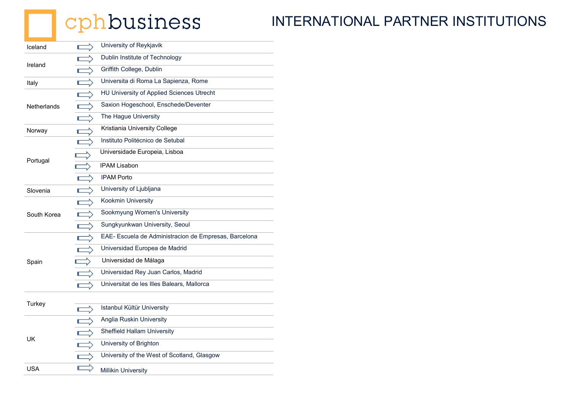# **C**phbusiness

#### INTERNATIONAL PARTNER INSTITUTIONS

| Iceland            | Г | University of Reykjavik                               |
|--------------------|---|-------------------------------------------------------|
| Ireland            |   | Dublin Institute of Technology                        |
|                    |   | Griffith College, Dublin                              |
| Italy              |   | Universita di Roma La Sapienza, Rome                  |
| <b>Netherlands</b> |   | HU University of Applied Sciences Utrecht             |
|                    |   | Saxion Hogeschool, Enschede/Deventer                  |
|                    |   | The Hague University                                  |
| Norway             |   | Kristiania University College                         |
|                    |   | Instituto Politécnico de Setubal                      |
|                    |   | Universidade Europeia, Lisboa                         |
| Portugal           |   | <b>IPAM Lisabon</b>                                   |
|                    | Г | <b>IPAM Porto</b>                                     |
| Slovenia           |   | University of Ljubljana                               |
|                    |   | Kookmin University                                    |
| South Korea        |   | Sookmyung Women's University                          |
|                    |   | Sungkyunkwan University, Seoul                        |
|                    |   | EAE- Escuela de Administracion de Empresas, Barcelona |
|                    |   | Universidad Europea de Madrid                         |
| Spain              |   | Universidad de Málaga                                 |
|                    |   | Universidad Rey Juan Carlos, Madrid                   |
|                    |   | Universitat de les Illes Balears, Mallorca            |
| Turkey             |   |                                                       |
|                    | г | Istanbul Kültür University                            |
|                    |   | Anglia Ruskin University                              |
| <b>UK</b>          |   | <b>Sheffield Hallam University</b>                    |
|                    |   | University of Brighton                                |
|                    |   | University of the West of Scotland, Glasgow           |
| <b>USA</b>         |   | <b>Millikin University</b>                            |
|                    |   |                                                       |